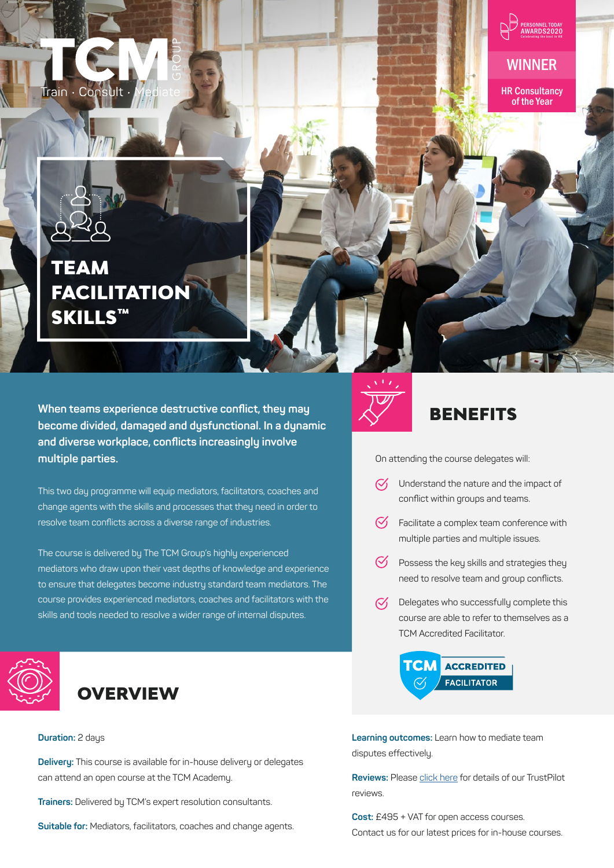



WINNER

HR Consultancy of the Year



# TEAM **FACILITATION** SKILLS™

**When teams experience destructive conflict, they may become divided, damaged and dysfunctional. In a dynamic and diverse workplace, conflicts increasingly involve multiple parties.** 

This two day programme will equip mediators, facilitators, coaches and change agents with the skills and processes that they need in order to resolve team conflicts across a diverse range of industries.

The course is delivered by The TCM Group's highly experienced mediators who draw upon their vast depths of knowledge and experience to ensure that delegates become industry standard team mediators. The course provides experienced mediators, coaches and facilitators with the skills and tools needed to resolve a wider range of internal disputes.





#### **Duration:** 2 days

**Delivery:** This course is available for in-house delivery or delegates can attend an open course at the TCM Academy.

**Trainers:** Delivered by TCM's expert resolution consultants.

**Suitable for:** Mediators, facilitators, coaches and change agents.



### BENEFITS

On attending the course delegates will:

- $\mathcal{C}'$ Understand the nature and the impact of conflict within groups and teams.
- $\heartsuit$  Facilitate a complex team conference with multiple parties and multiple issues.
- $\bigcirc$  Possess the key skills and strategies they need to resolve team and group conflicts.
- $\heartsuit$  Delegates who successfully complete this course are able to refer to themselves as a TCM Accredited Facilitator.



**Learning outcomes:** Learn how to mediate team disputes effectively.

**Reviews:** Please [click here](https://uk.trustpilot.com/review/thetcmgroup.com) for details of our TrustPilot reviews.

**Cost:** £495 + VAT for open access courses. Contact us for our latest prices for in-house courses.